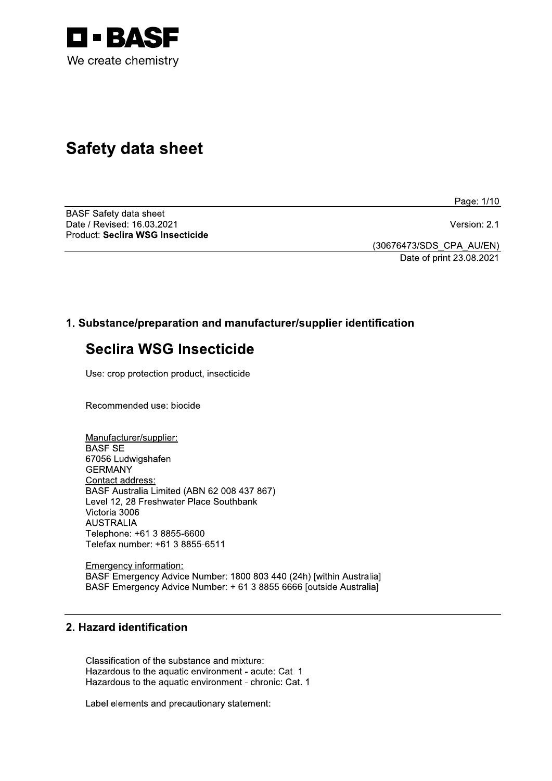

# **Safety data sheet**

Page: 1/10

**BASF Safety data sheet** Date / Revised: 16.03.2021 Product: Seclira WSG Insecticide

Version: 2.1

(30676473/SDS\_CPA\_AU/EN) Date of print 23.08.2021

# 1. Substance/preparation and manufacturer/supplier identification

# **Seclira WSG Insecticide**

Use: crop protection product, insecticide

Recommended use: biocide

Manufacturer/supplier: **BASF SE** 67056 Ludwigshafen **GERMANY** Contact address: BASF Australia Limited (ABN 62 008 437 867) Level 12, 28 Freshwater Place Southbank Victoria 3006 **AUSTRALIA** Telephone: +61 3 8855-6600 Telefax number: +61 3 8855-6511

**Emergency information:** BASF Emergency Advice Number: 1800 803 440 (24h) [within Australia] BASF Emergency Advice Number: + 61 3 8855 6666 [outside Australia]

# 2. Hazard identification

Classification of the substance and mixture: Hazardous to the aquatic environment - acute: Cat. 1 Hazardous to the aquatic environment - chronic: Cat. 1

Label elements and precautionary statement: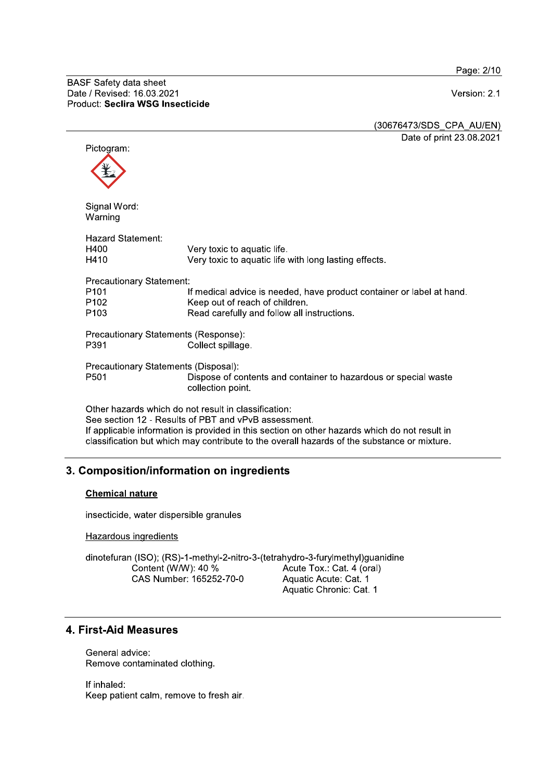Page: 2/10

H400

H410

P<sub>101</sub>

P<sub>102</sub>

P<sub>103</sub>

P391

P501

Version: 2.1

(30676473/SDS CPA AU/EN) Date of print 23.08.2021 Pictogram: Signal Word: Warning **Hazard Statement:** Very toxic to aquatic life. Very toxic to aquatic life with long lasting effects. **Precautionary Statement:** If medical advice is needed, have product container or label at hand. Keep out of reach of children. Read carefully and follow all instructions. Precautionary Statements (Response): Collect spillage. Precautionary Statements (Disposal): Dispose of contents and container to hazardous or special waste collection point. Other hazards which do not result in classification:

See section 12 - Results of PBT and vPvB assessment. If applicable information is provided in this section on other hazards which do not result in classification but which may contribute to the overall hazards of the substance or mixture.

# 3. Composition/information on ingredients

#### **Chemical nature**

insecticide, water dispersible granules

Hazardous ingredients

dinotefuran (ISO); (RS)-1-methyl-2-nitro-3-(tetrahydro-3-furylmethyl)guanidine Acute Tox.: Cat. 4 (oral) Content (W/W): 40 % CAS Number: 165252-70-0 Aquatic Acute: Cat. 1 Aquatic Chronic: Cat. 1

# 4. First-Aid Measures

General advice: Remove contaminated clothing.

If inhaled: Keep patient calm, remove to fresh air.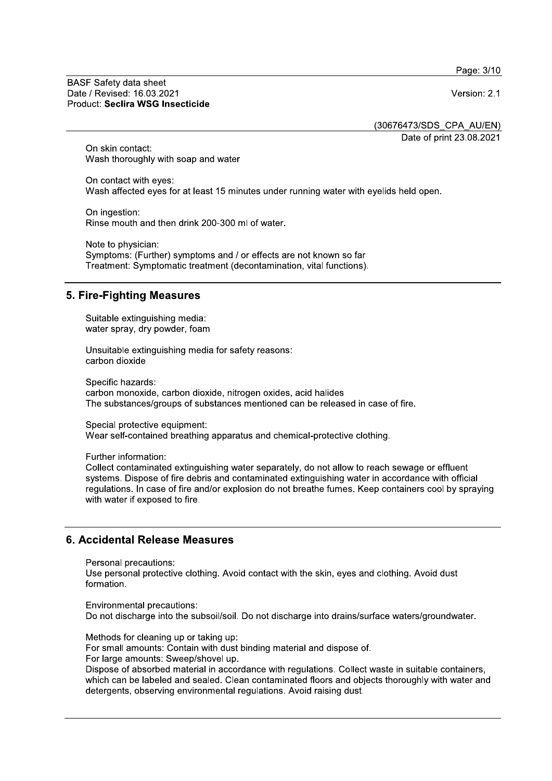Page: 3/10

#### **BASF Safety data sheet** Date / Revised: 16.03.2021 Product: Seclira WSG Insecticide

Version: 2.1

(30676473/SDS CPA AU/EN)

Date of print 23.08.2021

On skin contact: Wash thoroughly with soap and water

On contact with eves: Wash affected eves for at least 15 minutes under running water with evelids held open.

On ingestion: Rinse mouth and then drink 200-300 ml of water.

Note to physician: Symptoms: (Further) symptoms and / or effects are not known so far Treatment: Symptomatic treatment (decontamination, vital functions).

# 5. Fire-Fighting Measures

Suitable extinguishing media: water spray, dry powder, foam

Unsuitable extinguishing media for safety reasons: carbon dioxide

Specific hazards: carbon monoxide, carbon dioxide, nitrogen oxides, acid halides The substances/groups of substances mentioned can be released in case of fire.

Special protective equipment: Wear self-contained breathing apparatus and chemical-protective clothing.

Further information:

Collect contaminated extinguishing water separately, do not allow to reach sewage or effluent systems. Dispose of fire debris and contaminated extinguishing water in accordance with official regulations. In case of fire and/or explosion do not breathe fumes. Keep containers cool by spraying with water if exposed to fire.

# 6. Accidental Release Measures

Personal precautions:

Use personal protective clothing. Avoid contact with the skin, eyes and clothing. Avoid dust formation.

Environmental precautions: Do not discharge into the subsoil/soil. Do not discharge into drains/surface waters/groundwater.

Methods for cleaning up or taking up:

For small amounts: Contain with dust binding material and dispose of.

For large amounts: Sweep/shovel up.

Dispose of absorbed material in accordance with regulations. Collect waste in suitable containers, which can be labeled and sealed. Clean contaminated floors and objects thoroughly with water and detergents, observing environmental regulations. Avoid raising dust.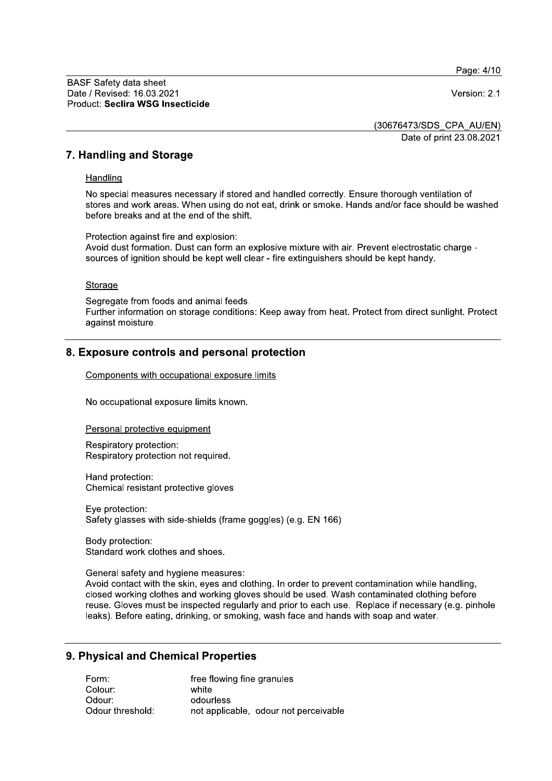Page: 4/10

Version: 2.1

(30676473/SDS CPA AU/EN)

Date of print 23.08.2021

# 7. Handling and Storage

#### Handling

No special measures necessary if stored and handled correctly. Ensure thorough ventilation of stores and work areas. When using do not eat, drink or smoke. Hands and/or face should be washed before breaks and at the end of the shift.

Protection against fire and explosion: Avoid dust formation. Dust can form an explosive mixture with air. Prevent electrostatic charge sources of ignition should be kept well clear - fire extinguishers should be kept handy.

#### Storage

Segregate from foods and animal feeds. Further information on storage conditions: Keep away from heat. Protect from direct sunlight. Protect against moisture.

# 8. Exposure controls and personal protection

Components with occupational exposure limits

No occupational exposure limits known.

Personal protective equipment

Respiratory protection: Respiratory protection not required.

Hand protection: Chemical resistant protective gloves

Eye protection: Safety glasses with side-shields (frame goggles) (e.g. EN 166)

Body protection: Standard work clothes and shoes.

General safety and hygiene measures:

Avoid contact with the skin, eyes and clothing. In order to prevent contamination while handling, closed working clothes and working gloves should be used. Wash contaminated clothing before reuse. Gloves must be inspected regularly and prior to each use. Replace if necessary (e.g. pinhole leaks). Before eating, drinking, or smoking, wash face and hands with soap and water.

# 9. Physical and Chemical Properties

| Form:            | free flowing fine granules            |
|------------------|---------------------------------------|
| Colour:          | white                                 |
| Odour:           | odourless                             |
| Odour threshold: | not applicable, odour not perceivable |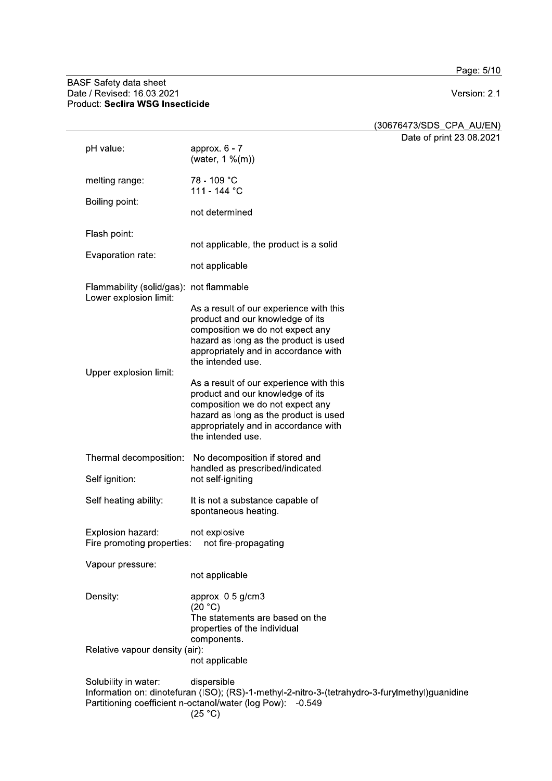Page: 5/10

# BASF Safety data sheet<br>Date / Revised: 16.03.2021<br>Product: Seclira WSG Insecticide

Version: 2.1

(30676473/SDS\_CPA\_AU/EN)

Date of print 23.08.2021

| pH value:                                                                                                                                                                                                      | approx. $6 - 7$                                                                                                                                                                                                       | DUIV VI PIIIII LV.I |
|----------------------------------------------------------------------------------------------------------------------------------------------------------------------------------------------------------------|-----------------------------------------------------------------------------------------------------------------------------------------------------------------------------------------------------------------------|---------------------|
|                                                                                                                                                                                                                | (water, 1 %(m))                                                                                                                                                                                                       |                     |
| melting range:                                                                                                                                                                                                 | 78 - 109 °C<br>111 - 144 °C                                                                                                                                                                                           |                     |
| Boiling point:                                                                                                                                                                                                 | not determined                                                                                                                                                                                                        |                     |
| Flash point:                                                                                                                                                                                                   |                                                                                                                                                                                                                       |                     |
| Evaporation rate:                                                                                                                                                                                              | not applicable, the product is a solid                                                                                                                                                                                |                     |
|                                                                                                                                                                                                                | not applicable                                                                                                                                                                                                        |                     |
| Flammability (solid/gas): not flammable<br>Lower explosion limit:                                                                                                                                              |                                                                                                                                                                                                                       |                     |
| Upper explosion limit:                                                                                                                                                                                         | As a result of our experience with this<br>product and our knowledge of its<br>composition we do not expect any<br>hazard as long as the product is used<br>appropriately and in accordance with<br>the intended use. |                     |
|                                                                                                                                                                                                                | As a result of our experience with this<br>product and our knowledge of its<br>composition we do not expect any<br>hazard as long as the product is used<br>appropriately and in accordance with<br>the intended use. |                     |
| Thermal decomposition:                                                                                                                                                                                         | No decomposition if stored and                                                                                                                                                                                        |                     |
| Self ignition:                                                                                                                                                                                                 | handled as prescribed/indicated.<br>not self-igniting                                                                                                                                                                 |                     |
| Self heating ability:                                                                                                                                                                                          | It is not a substance capable of<br>spontaneous heating.                                                                                                                                                              |                     |
| Explosion hazard:<br>Fire promoting properties:                                                                                                                                                                | not explosive<br>not fire-propagating                                                                                                                                                                                 |                     |
| Vapour pressure:                                                                                                                                                                                               |                                                                                                                                                                                                                       |                     |
|                                                                                                                                                                                                                | not applicable                                                                                                                                                                                                        |                     |
| Density:                                                                                                                                                                                                       | approx. 0.5 g/cm3<br>(20 °C)<br>The statements are based on the<br>properties of the individual<br>components.                                                                                                        |                     |
| Relative vapour density (air):                                                                                                                                                                                 | not applicable                                                                                                                                                                                                        |                     |
| Solubility in water:<br>dispersible<br>Information on: dinotefuran (ISO); (RS)-1-methyl-2-nitro-3-(tetrahydro-3-furylmethyl)guanidine<br>Partitioning coefficient n-octanol/water (log Pow): -0.549<br>(25 °C) |                                                                                                                                                                                                                       |                     |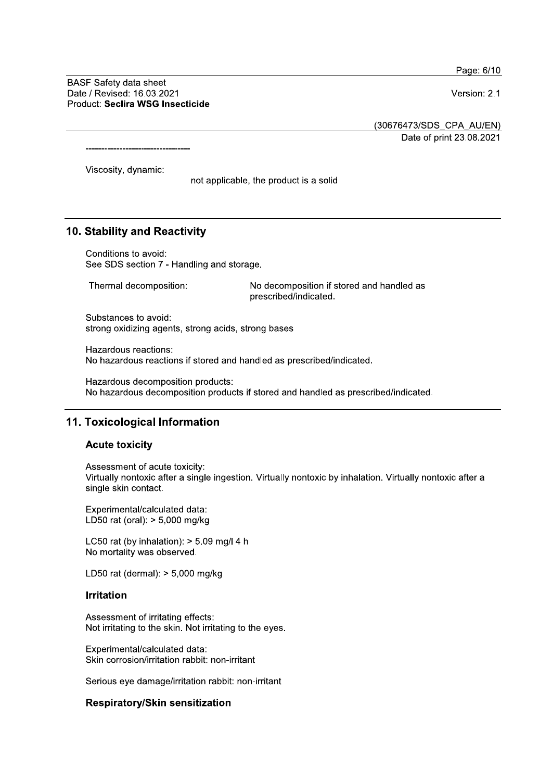Page: 6/10

**BASF Safety data sheet** Date / Revised: 16.03.2021 Product: Seclira WSG Insecticide

---------------------------------

Version: 2.1

(30676473/SDS CPA AU/EN)

Date of print 23.08.2021

Viscosity, dynamic:

not applicable, the product is a solid

#### 10. Stability and Reactivity

Conditions to avoid: See SDS section 7 - Handling and storage.

Thermal decomposition: No decomposition if stored and handled as prescribed/indicated.

Substances to avoid: strong oxidizing agents, strong acids, strong bases

Hazardous reactions: No hazardous reactions if stored and handled as prescribed/indicated.

Hazardous decomposition products: No hazardous decomposition products if stored and handled as prescribed/indicated.

### 11. Toxicological Information

#### **Acute toxicity**

Assessment of acute toxicity: Virtually nontoxic after a single ingestion. Virtually nontoxic by inhalation. Virtually nontoxic after a single skin contact.

Experimental/calculated data: LD50 rat (oral): > 5,000 mg/kg

LC50 rat (by inhalation):  $> 5.09$  mg/l 4 h No mortality was observed.

LD50 rat (dermal):  $> 5,000$  mg/kg

#### **Irritation**

Assessment of irritating effects: Not irritating to the skin. Not irritating to the eyes.

Experimental/calculated data: Skin corrosion/irritation rabbit: non-irritant

Serious eye damage/irritation rabbit: non-irritant

#### **Respiratory/Skin sensitization**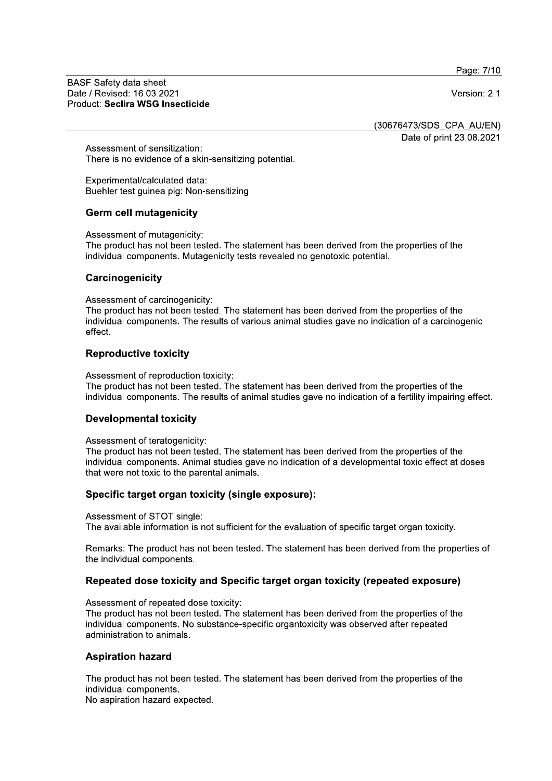Page: 7/10

**BASF Safety data sheet** Date / Revised: 16.03.2021 Product: Seclira WSG Insecticide

Version: 2.1

(30676473/SDS CPA AU/EN)

Date of print 23.08.2021

Assessment of sensitization: There is no evidence of a skin-sensitizing potential.

Experimental/calculated data: Buehler test quinea pig: Non-sensitizing.

#### **Germ cell mutagenicity**

Assessment of mutagenicity:

The product has not been tested. The statement has been derived from the properties of the individual components. Mutagenicity tests revealed no genotoxic potential.

#### Carcinogenicity

Assessment of carcinogenicity:

The product has not been tested. The statement has been derived from the properties of the individual components. The results of various animal studies gave no indication of a carcinogenic effect.

#### **Reproductive toxicity**

Assessment of reproduction toxicity:

The product has not been tested. The statement has been derived from the properties of the individual components. The results of animal studies gave no indication of a fertility impairing effect.

#### **Developmental toxicity**

Assessment of teratogenicity:

The product has not been tested. The statement has been derived from the properties of the individual components. Animal studies gave no indication of a developmental toxic effect at doses that were not toxic to the parental animals.

# Specific target organ toxicity (single exposure):

Assessment of STOT single: The available information is not sufficient for the evaluation of specific target organ toxicity.

Remarks: The product has not been tested. The statement has been derived from the properties of the individual components.

# Repeated dose toxicity and Specific target organ toxicity (repeated exposure)

Assessment of repeated dose toxicity:

The product has not been tested. The statement has been derived from the properties of the individual components. No substance-specific organtoxicity was observed after repeated administration to animals.

# **Aspiration hazard**

The product has not been tested. The statement has been derived from the properties of the individual components.

No aspiration hazard expected.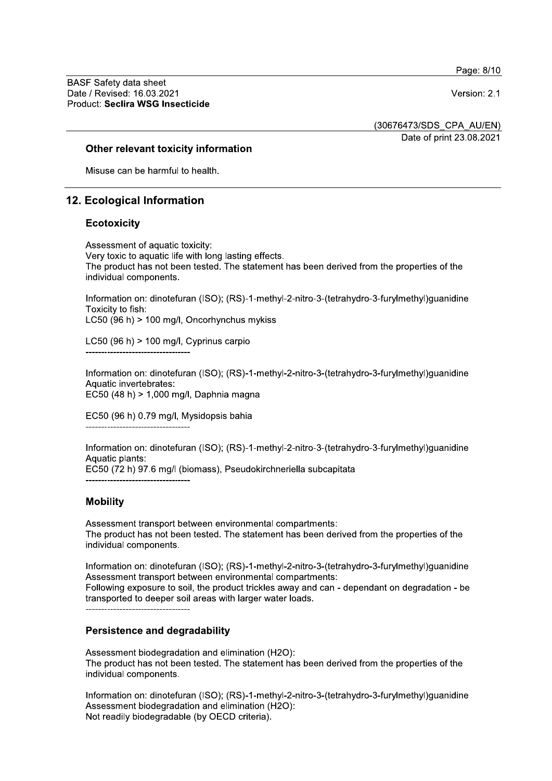Page: 8/10

**BASF Safety data sheet** Date / Revised: 16.03.2021 Product: Seclira WSG Insecticide

Version: 2.1

(30676473/SDS CPA AU/EN)

Date of print 23.08.2021

#### Other relevant toxicity information

Misuse can be harmful to health.

# 12. Ecological Information

#### **Ecotoxicity**

Assessment of aquatic toxicity: Very toxic to aquatic life with long lasting effects. The product has not been tested. The statement has been derived from the properties of the individual components.

Information on: dinotefuran (ISO); (RS)-1-methyl-2-nitro-3-(tetrahydro-3-furylmethyl)guanidine Toxicity to fish: LC50 (96 h) > 100 mg/l, Oncorhynchus mykiss

LC50 (96 h)  $> 100$  mg/l, Cyprinus carpio

Information on: dinotefuran (ISO); (RS)-1-methyl-2-nitro-3-(tetrahydro-3-furylmethyl)guanidine Aquatic invertebrates: EC50 (48 h) > 1,000 mg/l, Daphnia magna

EC50 (96 h) 0.79 mg/l, Mysidopsis bahia

Information on: dinotefuran (ISO); (RS)-1-methyl-2-nitro-3-(tetrahydro-3-furylmethyl)guanidine Aquatic plants:

EC50 (72 h) 97.6 mg/l (biomass), Pseudokirchneriella subcapitata

# **Mobility**

Assessment transport between environmental compartments: The product has not been tested. The statement has been derived from the properties of the individual components.

Information on: dinotefuran (ISO); (RS)-1-methyl-2-nitro-3-(tetrahydro-3-furylmethyl)quanidine Assessment transport between environmental compartments: Following exposure to soil, the product trickles away and can - dependant on degradation - be transported to deeper soil areas with larger water loads.

# **Persistence and degradability**

Assessment biodegradation and elimination (H2O): The product has not been tested. The statement has been derived from the properties of the individual components.

Information on: dinotefuran (ISO); (RS)-1-methyl-2-nitro-3-(tetrahydro-3-furylmethyl)guanidine Assessment biodegradation and elimination (H2O): Not readily biodegradable (by OECD criteria).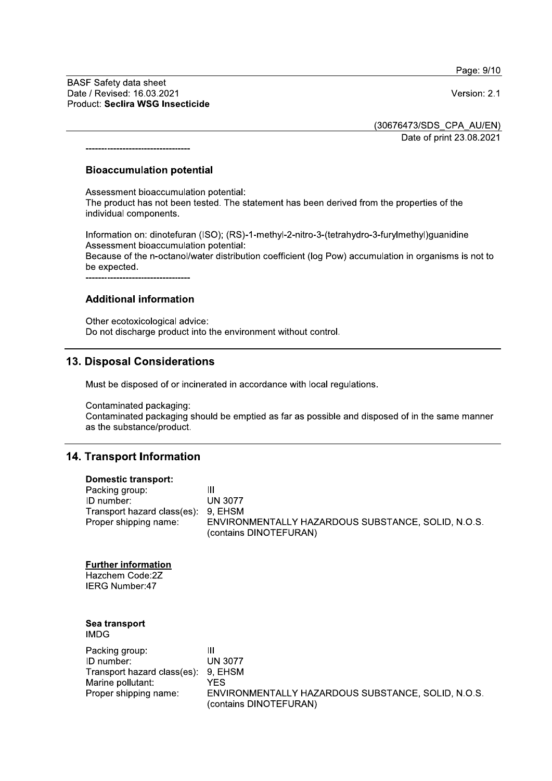Page: 9/10

Version: 2.1

**BASF Safety data sheet** Date / Revised: 16.03.2021 Product: Seclira WSG Insecticide

----------------------------------

(30676473/SDS CPA AU/EN)

Date of print 23.08.2021

#### **Bioaccumulation potential**

Assessment bioaccumulation potential:

The product has not been tested. The statement has been derived from the properties of the individual components.

Information on: dinotefuran (ISO); (RS)-1-methyl-2-nitro-3-(tetrahydro-3-furylmethyl)guanidine Assessment bioaccumulation potential:

Because of the n-octanol/water distribution coefficient (log Pow) accumulation in organisms is not to be expected.

-----------------------------------

#### **Additional information**

Other ecotoxicological advice: Do not discharge product into the environment without control.

# 13. Disposal Considerations

Must be disposed of or incinerated in accordance with local regulations.

Contaminated packaging:

Contaminated packaging should be emptied as far as possible and disposed of in the same manner as the substance/product.

# 14. Transport Information

#### **Domestic transport:**

| Packing group:                      | Ш                                                  |
|-------------------------------------|----------------------------------------------------|
| ID number:                          | <b>UN 3077</b>                                     |
| Transport hazard class(es): 9, EHSM |                                                    |
| Proper shipping name:               | ENVIRONMENTALLY HAZARDOUS SUBSTANCE, SOLID, N.O.S. |
|                                     | (contains DINOTEFURAN)                             |

#### **Further information**

Hazchem Code:2Z **IERG Number:47** 

#### Sea transport **IMDG**

| Packing group:                      | Ш                                                                            |
|-------------------------------------|------------------------------------------------------------------------------|
|                                     |                                                                              |
| ID number:                          | <b>UN 3077</b>                                                               |
| Transport hazard class(es): 9, EHSM |                                                                              |
| Marine pollutant:                   | YFS.                                                                         |
| Proper shipping name:               | ENVIRONMENTALLY HAZARDOUS SUBSTANCE, SOLID, N.O.S.<br>(contains DINOTEFURAN) |